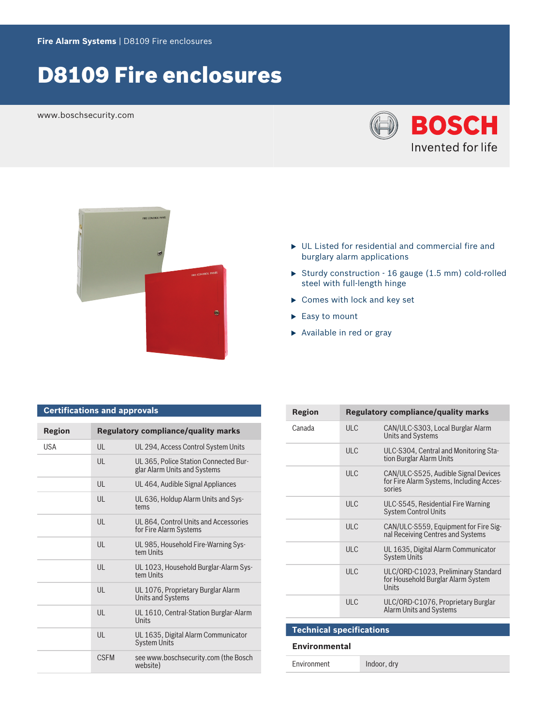# D8109 Fire enclosures

www.boschsecurity.com

**Certifications and approvals**





- $\triangleright$  UL Listed for residential and commercial fire and burglary alarm applications
- Sturdy construction 16 gauge (1.5 mm) cold-rolled steel with full-length hinge
- $\blacktriangleright$  Comes with lock and key set
- $\blacktriangleright$  Easy to mount
- $\blacktriangleright$  Available in red or gray

| <b>Region</b> |              | <b>Regulatory compliance/quality marks</b>                            |
|---------------|--------------|-----------------------------------------------------------------------|
| <b>USA</b>    | $\mathsf{U}$ | UL 294, Access Control System Units                                   |
|               | UL           | UL 365, Police Station Connected Bur-<br>glar Alarm Units and Systems |
|               | $\mathsf{U}$ | UL 464, Audible Signal Appliances                                     |
|               | $\mathsf{U}$ | UL 636, Holdup Alarm Units and Sys-<br>tems                           |
|               | $\mathsf{U}$ | UL 864, Control Units and Accessories<br>for Fire Alarm Systems       |
|               | $\mathsf{U}$ | UL 985, Household Fire-Warning Sys-<br>tem Units                      |
|               | UL           | UL 1023, Household Burglar-Alarm Sys-<br>tem Units                    |
|               | $\mathsf{U}$ | UL 1076, Proprietary Burglar Alarm<br>Units and Systems               |
|               | $\mathsf{U}$ | UL 1610, Central-Station Burglar-Alarm<br><b>Units</b>                |
|               | $\mathsf{U}$ | UL 1635, Digital Alarm Communicator<br><b>System Units</b>            |
|               | <b>CSEM</b>  | see www.boschsecurity.com (the Bosch<br>website)                      |

| Region                          |            | <b>Regulatory compliance/quality marks</b>                                                 |  |  |
|---------------------------------|------------|--------------------------------------------------------------------------------------------|--|--|
| Canada                          | ULC        | CAN/ULC-S303, Local Burglar Alarm<br><b>Units and Systems</b>                              |  |  |
|                                 | <b>ULC</b> | ULC-S304, Central and Monitoring Sta-<br>tion Burglar Alarm Units                          |  |  |
|                                 | <b>ULC</b> | CAN/ULC-S525, Audible Signal Devices<br>for Fire Alarm Systems, Including Acces-<br>sories |  |  |
|                                 | ULC        | ULC-S545, Residential Fire Warning<br><b>System Control Units</b>                          |  |  |
|                                 | ULC        | CAN/ULC-S559, Equipment for Fire Sig-<br>nal Receiving Centres and Systems                 |  |  |
|                                 | ULC        | UL 1635, Digital Alarm Communicator<br><b>System Units</b>                                 |  |  |
|                                 | <b>ULC</b> | ULC/ORD-C1023, Preliminary Standard<br>for Household Burglar Alarm System<br>Units         |  |  |
|                                 | ULC        | ULC/ORD-C1076, Proprietary Burglar<br><b>Alarm Units and Systems</b>                       |  |  |
|                                 |            |                                                                                            |  |  |
| <b>Technical specifications</b> |            |                                                                                            |  |  |

#### **Environmental**

Environment Indoor, dry